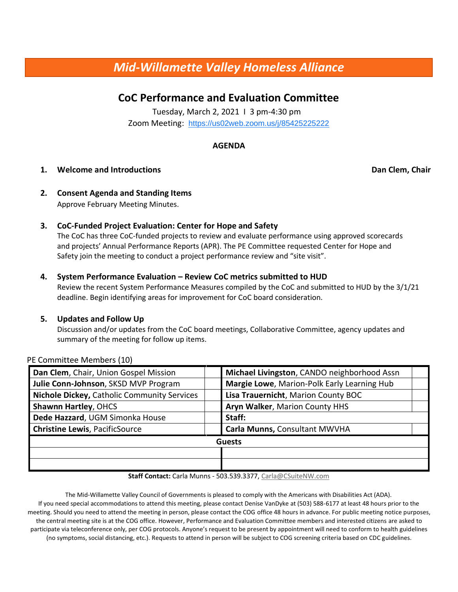# *Mid-Willamette Valley Homeless Alliance*

## **CoC Performance and Evaluation Committee**

Tuesday, March 2, 2021 I 3 pm-4:30 pm Zoom Meeting: https://us02web.zoom.us/j/85425225222

#### **AGENDA**

#### **1. Welcome and Introductions Dan Clem, Chair**

- **2. Consent Agenda and Standing Items**  Approve February Meeting Minutes.
- **3. CoC-Funded Project Evaluation: Center for Hope and Safety**

The CoC has three CoC-funded projects to review and evaluate performance using approved scorecards and projects' Annual Performance Reports (APR). The PE Committee requested Center for Hope and Safety join the meeting to conduct a project performance review and "site visit".

#### **4. System Performance Evaluation – Review CoC metrics submitted to HUD**

Review the recent System Performance Measures compiled by the CoC and submitted to HUD by the 3/1/21 deadline. Begin identifying areas for improvement for CoC board consideration.

#### **5. Updates and Follow Up**

Discussion and/or updates from the CoC board meetings, Collaborative Committee, agency updates and summary of the meeting for follow up items.

| Dan Clem, Chair, Union Gospel Mission       |  | Michael Livingston, CANDO neighborhood Assn |  |
|---------------------------------------------|--|---------------------------------------------|--|
| Julie Conn-Johnson, SKSD MVP Program        |  | Margie Lowe, Marion-Polk Early Learning Hub |  |
| Nichole Dickey, Catholic Community Services |  | Lisa Trauernicht, Marion County BOC         |  |
| <b>Shawnn Hartley, OHCS</b>                 |  | Aryn Walker, Marion County HHS              |  |
| Dede Hazzard, UGM Simonka House             |  | Staff:                                      |  |
| <b>Christine Lewis, PacificSource</b>       |  | Carla Munns, Consultant MWVHA               |  |
| <b>Guests</b>                               |  |                                             |  |
|                                             |  |                                             |  |
|                                             |  |                                             |  |

#### PE Committee Members (10)

**Staff Contact:** Carla Munns - 503.539.3377, Carla@CSuiteNW.com

The Mid-Willamette Valley Council of Governments is pleased to comply with the Americans with Disabilities Act (ADA). If you need special accommodations to attend this meeting, please contact Denise VanDyke at (503) 588-6177 at least 48 hours prior to the meeting. Should you need to attend the meeting in person, please contact the COG office 48 hours in advance. For public meeting notice purposes, the central meeting site is at the COG office. However, Performance and Evaluation Committee members and interested citizens are asked to participate via teleconference only, per COG protocols. Anyone's request to be present by appointment will need to conform to health guidelines (no symptoms, social distancing, etc.). Requests to attend in person will be subject to COG screening criteria based on CDC guidelines.